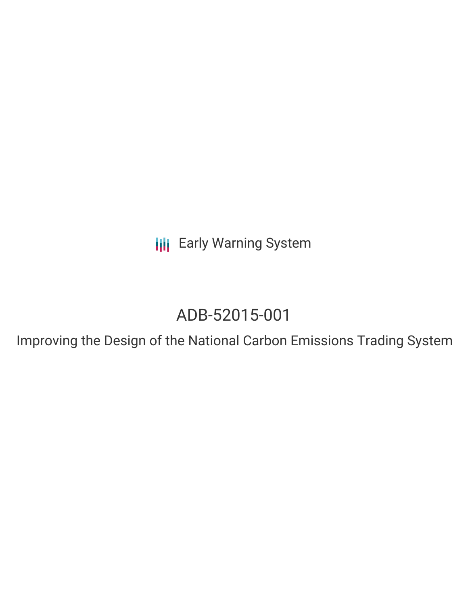**III** Early Warning System

# ADB-52015-001

Improving the Design of the National Carbon Emissions Trading System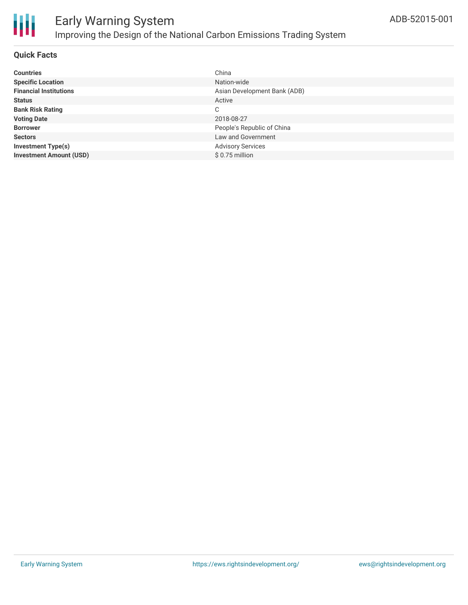

### **Quick Facts**

| <b>Countries</b>               | China                        |
|--------------------------------|------------------------------|
| <b>Specific Location</b>       | Nation-wide                  |
| <b>Financial Institutions</b>  | Asian Development Bank (ADB) |
| <b>Status</b>                  | Active                       |
| <b>Bank Risk Rating</b>        | С                            |
| <b>Voting Date</b>             | 2018-08-27                   |
| <b>Borrower</b>                | People's Republic of China   |
| <b>Sectors</b>                 | Law and Government           |
| <b>Investment Type(s)</b>      | <b>Advisory Services</b>     |
| <b>Investment Amount (USD)</b> | $$0.75$ million              |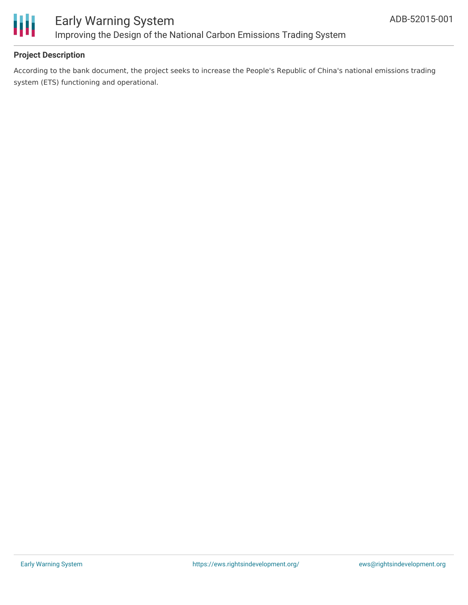

# **Project Description**

According to the bank document, the project seeks to increase the People's Republic of China's national emissions trading system (ETS) functioning and operational.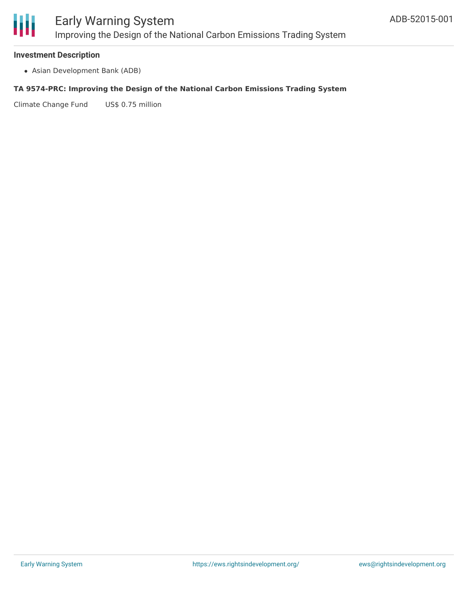

# Early Warning System Improving the Design of the National Carbon Emissions Trading System

#### **Investment Description**

Asian Development Bank (ADB)

#### **TA 9574-PRC: Improving the Design of the National Carbon Emissions Trading System**

Climate Change Fund US\$ 0.75 million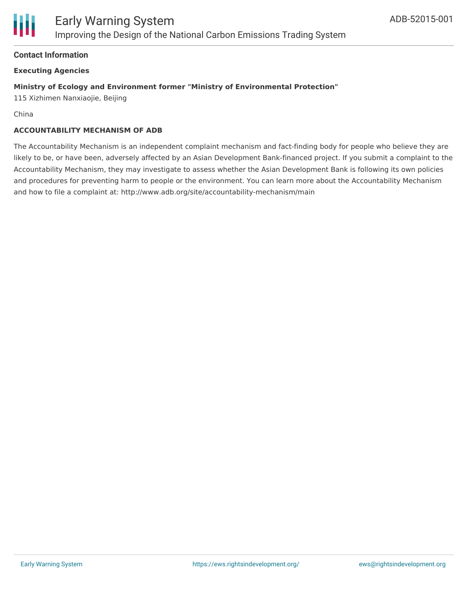# **Contact Information**

# **Executing Agencies**

# **Ministry of Ecology and Environment former "Ministry of Environmental Protection"**

115 Xizhimen Nanxiaojie, Beijing

China

### **ACCOUNTABILITY MECHANISM OF ADB**

The Accountability Mechanism is an independent complaint mechanism and fact-finding body for people who believe they are likely to be, or have been, adversely affected by an Asian Development Bank-financed project. If you submit a complaint to the Accountability Mechanism, they may investigate to assess whether the Asian Development Bank is following its own policies and procedures for preventing harm to people or the environment. You can learn more about the Accountability Mechanism and how to file a complaint at: http://www.adb.org/site/accountability-mechanism/main